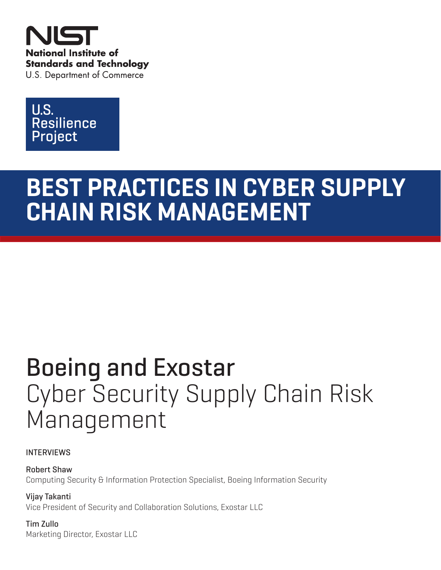



# **BEST PRACTICES IN CYBER SUPPLY CHAIN RISK MANAGEMENT**

# Boeing and Exostar Cyber Security Supply Chain Risk Management

### INTERVIEWS

Robert Shaw Computing Security & Information Protection Specialist, Boeing Information Security

Vijay Takanti Vice President of Security and Collaboration Solutions, Exostar LLC

Tim Zullo Marketing Director, Exostar LLC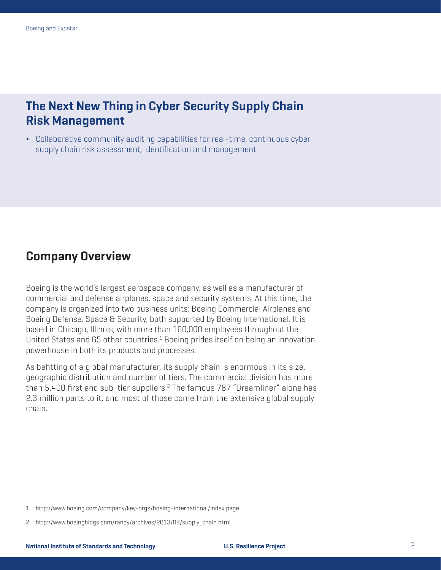## **The Next New Thing in Cyber Security Supply Chain Risk Management**

■ Collaborative community auditing capabilities for real-time, continuous cyber supply chain risk assessment, identification and management

## **Company Overview**

Boeing is the world's largest aerospace company, as well as a manufacturer of commercial and defense airplanes, space and security systems. At this time, the company is organized into two business units: Boeing Commercial Airplanes and Boeing Defense, Space & Security, both supported by Boeing International. It is based in Chicago, Illinois, with more than 160,000 employees throughout the United States and 65 other countries. $<sup>1</sup>$  Boeing prides itself on being an innovation</sup> powerhouse in both its products and processes.

As befitting of a global manufacturer, its supply chain is enormous in its size, geographic distribution and number of tiers. The commercial division has more than 5,400 first and sub-tier suppliers.<sup>2</sup> The famous 787 "Dreamliner" alone has 2.3 million parts to it, and most of those come from the extensive global supply chain.

<sup>1</sup> http://www.boeing.com/company/key-orgs/boeing-international/index.page

<sup>2</sup> http://www.boeingblogs.com/randy/archives/2013/02/supply\_chain.html.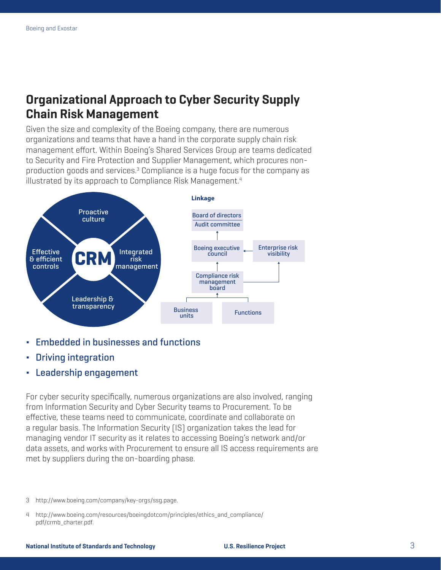## **Organizational Approach to Cyber Security Supply Chain Risk Management**

Given the size and complexity of the Boeing company, there are numerous organizations and teams that have a hand in the corporate supply chain risk management effort. Within Boeing's Shared Services Group are teams dedicated to Security and Fire Protection and Supplier Management, which procures nonproduction goods and services.<sup>3</sup> Compliance is a huge focus for the company as illustrated by its approach to Compliance Risk Management.<sup>4</sup>



- ∆ Embedded in businesses and functions
- ∆ Driving integration
- Leadership engagement

For cyber security specifically, numerous organizations are also involved, ranging from Information Security and Cyber Security teams to Procurement. To be effective, these teams need to communicate, coordinate and collaborate on a regular basis. The Information Security (IS) organization takes the lead for managing vendor IT security as it relates to accessing Boeing's network and/or data assets, and works with Procurement to ensure all IS access requirements are met by suppliers during the on-boarding phase.

<sup>3</sup> http://www.boeing.com/company/key-orgs/ssg.page.

<sup>4</sup> http://www.boeing.com/resources/boeingdotcom/principles/ethics\_and\_compliance/ pdf/crmb\_charter.pdf.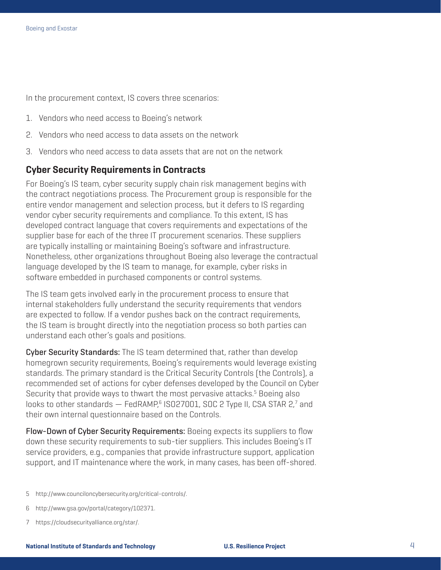In the procurement context, IS covers three scenarios:

- 1. Vendors who need access to Boeing's network
- 2. Vendors who need access to data assets on the network
- 3. Vendors who need access to data assets that are not on the network

#### **Cyber Security Requirements in Contracts**

For Boeing's IS team, cyber security supply chain risk management begins with the contract negotiations process. The Procurement group is responsible for the entire vendor management and selection process, but it defers to IS regarding vendor cyber security requirements and compliance. To this extent, IS has developed contract language that covers requirements and expectations of the supplier base for each of the three IT procurement scenarios. These suppliers are typically installing or maintaining Boeing's software and infrastructure. Nonetheless, other organizations throughout Boeing also leverage the contractual language developed by the IS team to manage, for example, cyber risks in software embedded in purchased components or control systems.

The IS team gets involved early in the procurement process to ensure that internal stakeholders fully understand the security requirements that vendors are expected to follow. If a vendor pushes back on the contract requirements, the IS team is brought directly into the negotiation process so both parties can understand each other's goals and positions.

Cyber Security Standards: The IS team determined that, rather than develop homegrown security requirements, Boeing's requirements would leverage existing standards. The primary standard is the Critical Security Controls (the Controls), a recommended set of actions for cyber defenses developed by the Council on Cyber Security that provide ways to thwart the most pervasive attacks.<sup>5</sup> Boeing also looks to other standards  $-$  FedRAMP, $^6$  ISO27001, SOC 2 Type II, CSA STAR 2, $^7$  and their own internal questionnaire based on the Controls.

Flow-Down of Cyber Security Requirements: Boeing expects its suppliers to flow down these security requirements to sub-tier suppliers. This includes Boeing's IT service providers, e.g., companies that provide infrastructure support, application support, and IT maintenance where the work, in many cases, has been off-shored.

- 5 http://www.counciloncybersecurity.org/critical-controls/.
- 6 http://www.gsa.gov/portal/category/102371.
- 7 https://cloudsecurityalliance.org/star/.

#### **National Institute of Standards and Technology U.S. Resilience Project** 4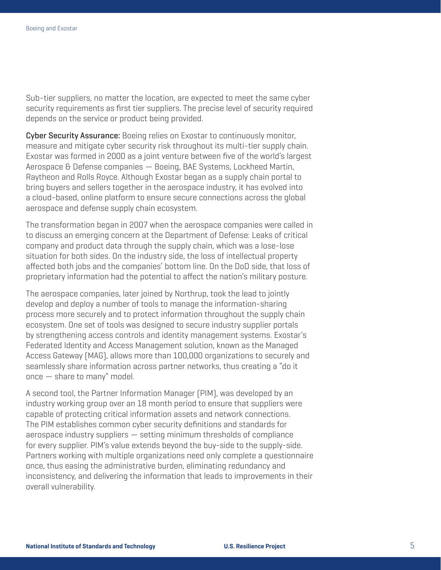Sub-tier suppliers, no matter the location, are expected to meet the same cyber security requirements as first tier suppliers. The precise level of security required depends on the service or product being provided.

Cyber Security Assurance: Boeing relies on Exostar to continuously monitor, measure and mitigate cyber security risk throughout its multi-tier supply chain. Exostar was formed in 2000 as a joint venture between five of the world's largest Aerospace & Defense companies — Boeing, BAE Systems, Lockheed Martin, Raytheon and Rolls Royce. Although Exostar began as a supply chain portal to bring buyers and sellers together in the aerospace industry, it has evolved into a cloud-based, online platform to ensure secure connections across the global aerospace and defense supply chain ecosystem.

The transformation began in 2007 when the aerospace companies were called in to discuss an emerging concern at the Department of Defense: Leaks of critical company and product data through the supply chain, which was a lose-lose situation for both sides. On the industry side, the loss of intellectual property affected both jobs and the companies' bottom line. On the DoD side, that loss of proprietary information had the potential to affect the nation's military posture.

The aerospace companies, later joined by Northrup, took the lead to jointly develop and deploy a number of tools to manage the information-sharing process more securely and to protect information throughout the supply chain ecosystem. One set of tools was designed to secure industry supplier portals by strengthening access controls and identity management systems. Exostar's Federated Identity and Access Management solution, known as the Managed Access Gateway (MAG), allows more than 100,000 organizations to securely and seamlessly share information across partner networks, thus creating a "do it once — share to many" model.

A second tool, the Partner Information Manager (PIM), was developed by an industry working group over an 18 month period to ensure that suppliers were capable of protecting critical information assets and network connections. The PIM establishes common cyber security definitions and standards for aerospace industry suppliers — setting minimum thresholds of compliance for every supplier. PIM's value extends beyond the buy-side to the supply-side. Partners working with multiple organizations need only complete a questionnaire once, thus easing the administrative burden, eliminating redundancy and inconsistency, and delivering the information that leads to improvements in their overall vulnerability.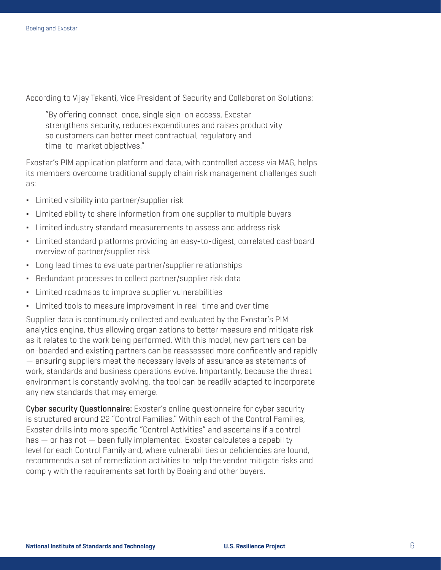According to Vijay Takanti, Vice President of Security and Collaboration Solutions:

"By offering connect-once, single sign-on access, Exostar strengthens security, reduces expenditures and raises productivity so customers can better meet contractual, regulatory and time-to-market objectives."

Exostar's PIM application platform and data, with controlled access via MAG, helps its members overcome traditional supply chain risk management challenges such as:

- Limited visibility into partner/supplier risk
- Limited ability to share information from one supplier to multiple buyers
- Limited industry standard measurements to assess and address risk
- Limited standard platforms providing an easy-to-digest, correlated dashboard overview of partner/supplier risk
- Long lead times to evaluate partner/supplier relationships
- Redundant processes to collect partner/supplier risk data
- Limited roadmaps to improve supplier vulnerabilities
- Limited tools to measure improvement in real-time and over time

Supplier data is continuously collected and evaluated by the Exostar's PIM analytics engine, thus allowing organizations to better measure and mitigate risk as it relates to the work being performed. With this model, new partners can be on-boarded and existing partners can be reassessed more confidently and rapidly — ensuring suppliers meet the necessary levels of assurance as statements of work, standards and business operations evolve. Importantly, because the threat environment is constantly evolving, the tool can be readily adapted to incorporate any new standards that may emerge.

Cyber security Questionnaire: Exostar's online questionnaire for cyber security is structured around 22 "Control Families." Within each of the Control Families, Exostar drills into more specific "Control Activities" and ascertains if a control has — or has not — been fully implemented. Exostar calculates a capability level for each Control Family and, where vulnerabilities or deficiencies are found, recommends a set of remediation activities to help the vendor mitigate risks and comply with the requirements set forth by Boeing and other buyers.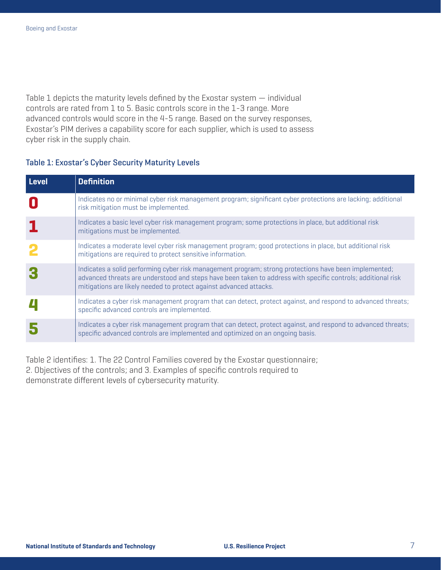Table 1 depicts the maturity levels defined by the Exostar system — individual controls are rated from 1 to 5. Basic controls score in the 1-3 range. More advanced controls would score in the 4-5 range. Based on the survey responses, Exostar's PIM derives a capability score for each supplier, which is used to assess cyber risk in the supply chain.

#### Table 1: Exostar's Cyber Security Maturity Levels

| Level | <b>Definition</b>                                                                                                                                                                                                                                                                           |
|-------|---------------------------------------------------------------------------------------------------------------------------------------------------------------------------------------------------------------------------------------------------------------------------------------------|
|       | Indicates no or minimal cyber risk management program; significant cyber protections are lacking; additional<br>risk mitigation must be implemented.                                                                                                                                        |
|       | Indicates a basic level cyber risk management program; some protections in place, but additional risk<br>mitigations must be implemented.                                                                                                                                                   |
|       | Indicates a moderate level cyber risk management program; good protections in place, but additional risk<br>mitigations are required to protect sensitive information.                                                                                                                      |
|       | Indicates a solid performing cyber risk management program; strong protections have been implemented;<br>advanced threats are understood and steps have been taken to address with specific controls; additional risk<br>mitigations are likely needed to protect against advanced attacks. |
|       | Indicates a cyber risk management program that can detect, protect against, and respond to advanced threats;<br>specific advanced controls are implemented.                                                                                                                                 |
|       | Indicates a cyber risk management program that can detect, protect against, and respond to advanced threats;<br>specific advanced controls are implemented and optimized on an ongoing basis.                                                                                               |

Table 2 identifies: 1. The 22 Control Families covered by the Exostar questionnaire; 2. Objectives of the controls; and 3. Examples of specific controls required to demonstrate different levels of cybersecurity maturity.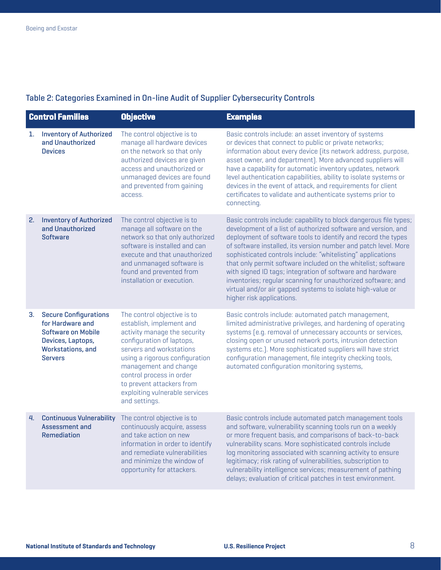### Table 2: Categories Examined in On-line Audit of Supplier Cybersecurity Controls

| <b>Control Families</b> |                                                                                                                                           | <b>Objective</b>                                                                                                                                                                                                                                                                                                        | <b>Examples</b>                                                                                                                                                                                                                                                                                                                                                                                                                                                                                                                                                                                                                |
|-------------------------|-------------------------------------------------------------------------------------------------------------------------------------------|-------------------------------------------------------------------------------------------------------------------------------------------------------------------------------------------------------------------------------------------------------------------------------------------------------------------------|--------------------------------------------------------------------------------------------------------------------------------------------------------------------------------------------------------------------------------------------------------------------------------------------------------------------------------------------------------------------------------------------------------------------------------------------------------------------------------------------------------------------------------------------------------------------------------------------------------------------------------|
| 1.                      | <b>Inventory of Authorized</b><br>and Unauthorized<br><b>Devices</b>                                                                      | The control objective is to<br>manage all hardware devices<br>on the network so that only<br>authorized devices are given<br>access and unauthorized or<br>unmanaged devices are found<br>and prevented from gaining<br>access.                                                                                         | Basic controls include: an asset inventory of systems<br>or devices that connect to public or private networks;<br>information about every device [its network address, purpose,<br>asset owner, and department). More advanced suppliers will<br>have a capability for automatic inventory updates, network<br>level authentication capabilities, ability to isolate systems or<br>devices in the event of attack, and requirements for client<br>certificates to validate and authenticate systems prior to<br>connecting.                                                                                                   |
| 2.                      | <b>Inventory of Authorized</b><br>and Unauthorized<br><b>Software</b>                                                                     | The control objective is to<br>manage all software on the<br>network so that only authorized<br>software is installed and can<br>execute and that unauthorized<br>and unmanaged software is<br>found and prevented from<br>installation or execution.                                                                   | Basic controls include: capability to block dangerous file types;<br>development of a list of authorized software and version, and<br>deployment of software tools to identify and record the types<br>of software installed, its version number and patch level. More<br>sophisticated controls include: "whitelisting" applications<br>that only permit software included on the whitelist; software<br>with signed ID tags; integration of software and hardware<br>inventories; regular scanning for unauthorized software; and<br>virtual and/or air gapped systems to isolate high-value or<br>higher risk applications. |
| 3.                      | <b>Secure Configurations</b><br>for Hardware and<br><b>Software on Mobile</b><br>Devices, Laptops,<br>Workstations, and<br><b>Servers</b> | The control objective is to<br>establish, implement and<br>activity manage the security<br>configuration of laptops,<br>servers and workstations<br>using a rigorous configuration<br>management and change<br>control process in order<br>to prevent attackers from<br>exploiting vulnerable services<br>and settings. | Basic controls include: automated patch management,<br>limited administrative privileges, and hardening of operating<br>systems [e.g. removal of unnecessary accounts or services,<br>closing open or unused network ports, intrusion detection<br>systems etc.]. More sophisticated suppliers will have strict<br>configuration management, file integrity checking tools,<br>automated configuration monitoring systems,                                                                                                                                                                                                     |
| 4.                      | <b>Continuous Vulnerability</b><br>Assessment and<br><b>Remediation</b>                                                                   | The control objective is to<br>continuously acquire, assess<br>and take action on new<br>information in order to identify<br>and remediate vulnerabilities<br>and minimize the window of<br>opportunity for attackers.                                                                                                  | Basic controls include automated patch management tools<br>and software, vulnerability scanning tools run on a weekly<br>or more frequent basis, and comparisons of back-to-back<br>vulnerability scans. More sophisticated controls include<br>log monitoring associated with scanning activity to ensure<br>legitimacy; risk rating of vulnerabilities, subscription to<br>vulnerability intelligence services; measurement of pathing<br>delays; evaluation of critical patches in test environment.                                                                                                                        |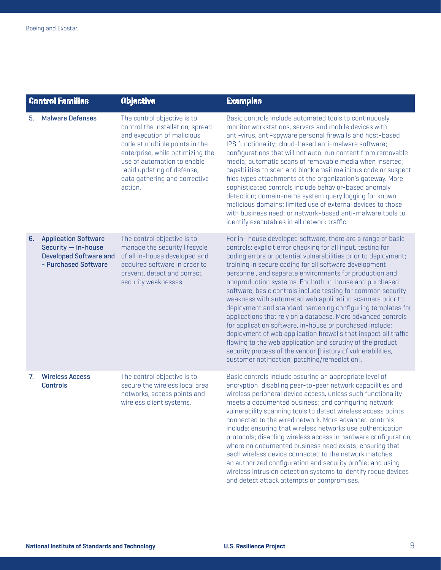| <b>Control Families</b> |                                                                                                             | <b>Objective</b>                                                                                                                                                                                                                                                             | <b>Examples</b>                                                                                                                                                                                                                                                                                                                                                                                                                                                                                                                                                                                                                                                                                                                                                                                                                                                                                                                                          |
|-------------------------|-------------------------------------------------------------------------------------------------------------|------------------------------------------------------------------------------------------------------------------------------------------------------------------------------------------------------------------------------------------------------------------------------|----------------------------------------------------------------------------------------------------------------------------------------------------------------------------------------------------------------------------------------------------------------------------------------------------------------------------------------------------------------------------------------------------------------------------------------------------------------------------------------------------------------------------------------------------------------------------------------------------------------------------------------------------------------------------------------------------------------------------------------------------------------------------------------------------------------------------------------------------------------------------------------------------------------------------------------------------------|
| 5.                      | <b>Malware Defenses</b>                                                                                     | The control objective is to<br>control the installation, spread<br>and execution of malicious<br>code at multiple points in the<br>enterprise, while optimizing the<br>use of automation to enable<br>rapid updating of defense,<br>data gathering and corrective<br>action. | Basic controls include automated tools to continuously<br>monitor workstations, servers and mobile devices with<br>anti-virus, anti-spyware personal firewalls and host-based<br>IPS functionality; cloud-based anti-malware software;<br>configurations that will not auto-run content from removable<br>media; automatic scans of removable media when inserted;<br>capabilities to scan and block email malicious code or suspect<br>files types attachments at the organization's gateway. More<br>sophisticated controls include behavior-based anomaly<br>detection; domain-name system query logging for known<br>malicious domains; limited use of external devices to those<br>with business need; or network-based anti-malware tools to<br>identify executables in all network traffic.                                                                                                                                                       |
| 6.                      | <b>Application Software</b><br>Security - In-house<br><b>Developed Software and</b><br>- Purchased Software | The control objective is to<br>manage the security lifecycle<br>of all in-house developed and<br>acquired software in order to<br>prevent, detect and correct<br>security weaknesses.                                                                                        | For in- house developed software, there are a range of basic<br>controls: explicit error checking for all input, testing for<br>coding errors or potential vulnerabilities prior to deployment;<br>training in secure coding for all software development<br>personnel, and separate environments for production and<br>nonproduction systems. For both in-house and purchased<br>software, basic controls include testing for common security<br>weakness with automated web application scanners prior to<br>deployment and standard hardening configuring templates for<br>applications that rely on a database. More advanced controls<br>for application software, in-house or purchased include:<br>deployment of web application firewalls that inspect all traffic<br>flowing to the web application and scrutiny of the product<br>security process of the vendor (history of vulnerabilities,<br>customer notification, patching/remediation]. |
| 7.                      | <b>Wireless Access</b><br><b>Controls</b>                                                                   | The control objective is to<br>secure the wireless local area<br>networks, access points and<br>wireless client systems.                                                                                                                                                     | Basic controls include assuring an appropriate level of<br>encryption; disabling peer-to-peer network capabilities and<br>wireless peripheral device access, unless such functionality<br>meets a documented business; and configuring network<br>vulnerability scanning tools to detect wireless access points<br>connected to the wired network. More advanced controls<br>include: ensuring that wireless networks use authentication<br>protocols; disabling wireless access in hardware configuration,<br>where no documented business need exists; ensuring that<br>each wireless device connected to the network matches<br>an authorized configuration and security profile; and using<br>wireless intrusion detection systems to identify roque devices<br>and detect attack attempts or compromises.                                                                                                                                           |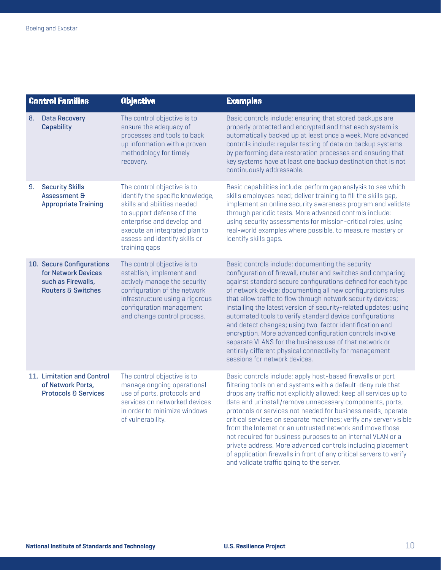| <b>Control Families</b> |                                                                                                         | <b>Objective</b>                                                                                                                                                                                                                              | <b>Examples</b>                                                                                                                                                                                                                                                                                                                                                                                                                                                                                                                                                                                                                                                                                                              |
|-------------------------|---------------------------------------------------------------------------------------------------------|-----------------------------------------------------------------------------------------------------------------------------------------------------------------------------------------------------------------------------------------------|------------------------------------------------------------------------------------------------------------------------------------------------------------------------------------------------------------------------------------------------------------------------------------------------------------------------------------------------------------------------------------------------------------------------------------------------------------------------------------------------------------------------------------------------------------------------------------------------------------------------------------------------------------------------------------------------------------------------------|
| 8.                      | <b>Data Recovery</b><br>Capability                                                                      | The control objective is to<br>ensure the adequacy of<br>processes and tools to back<br>up information with a proven<br>methodology for timely<br>recovery.                                                                                   | Basic controls include: ensuring that stored backups are<br>properly protected and encrypted and that each system is<br>automatically backed up at least once a week. More advanced<br>controls include: reqular testing of data on backup systems<br>by performing data restoration processes and ensuring that<br>key systems have at least one backup destination that is not<br>continuously addressable.                                                                                                                                                                                                                                                                                                                |
| 9.                      | <b>Security Skills</b><br><b>Assessment &amp;</b><br><b>Appropriate Training</b>                        | The control objective is to<br>identify the specific knowledge,<br>skills and abilities needed<br>to support defense of the<br>enterprise and develop and<br>execute an integrated plan to<br>assess and identify skills or<br>training gaps. | Basic capabilities include: perform gap analysis to see which<br>skills employees need; deliver training to fill the skills gap,<br>implement an online security awareness program and validate<br>through periodic tests. More advanced controls include:<br>using security assessments for mission-critical roles, using<br>real-world examples where possible, to measure mastery or<br>identify skills gaps.                                                                                                                                                                                                                                                                                                             |
|                         | 10. Secure Configurations<br>for Network Devices<br>such as Firewalls,<br><b>Routers &amp; Switches</b> | The control objective is to<br>establish, implement and<br>actively manage the security<br>configuration of the network<br>infrastructure using a rigorous<br>configuration management<br>and change control process.                         | Basic controls include: documenting the security<br>configuration of firewall, router and switches and comparing<br>against standard secure configurations defined for each type<br>of network device; documenting all new configurations rules<br>that allow traffic to flow through network security devices;<br>installing the latest version of security-related updates; using<br>automated tools to verify standard device configurations<br>and detect changes; using two-factor identification and<br>encryption. More advanced configuration controls involve<br>separate VLANS for the business use of that network or<br>entirely different physical connectivity for management<br>sessions for network devices. |
|                         | 11. Limitation and Control<br>of Network Ports,<br><b>Protocols &amp; Services</b>                      | The control objective is to<br>manage ongoing operational<br>use of ports, protocols and<br>services on networked devices<br>in order to minimize windows<br>of vulnerability.                                                                | Basic controls include: apply host-based firewalls or port<br>filtering tools on end systems with a default-deny rule that<br>drops any traffic not explicitly allowed; keep all services up to<br>date and uninstall/remove unnecessary components, ports,<br>protocols or services not needed for business needs; operate<br>critical services on separate machines; verify any server visible<br>from the Internet or an untrusted network and move those<br>not required for business purposes to an internal VLAN or a<br>private address. More advanced controls including placement<br>of application firewalls in front of any critical servers to verify<br>and validate traffic going to the server.               |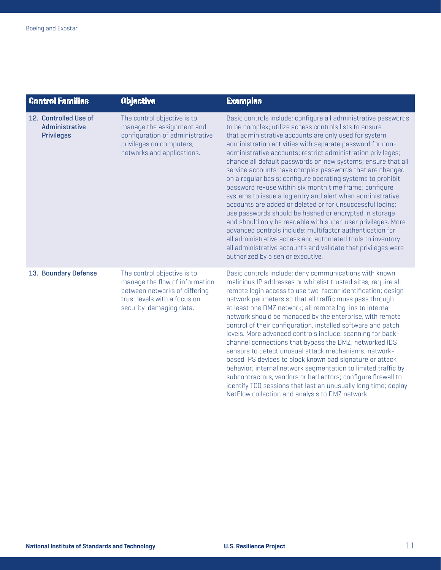| <b>Control Families</b>                                      | <b>Objective</b>                                                                                                                                          | <b>Examples</b>                                                                                                                                                                                                                                                                                                                                                                                                                                                                                                                                                                                                                                                                                                                                                                                                                                                                                                                                                                                                                                           |
|--------------------------------------------------------------|-----------------------------------------------------------------------------------------------------------------------------------------------------------|-----------------------------------------------------------------------------------------------------------------------------------------------------------------------------------------------------------------------------------------------------------------------------------------------------------------------------------------------------------------------------------------------------------------------------------------------------------------------------------------------------------------------------------------------------------------------------------------------------------------------------------------------------------------------------------------------------------------------------------------------------------------------------------------------------------------------------------------------------------------------------------------------------------------------------------------------------------------------------------------------------------------------------------------------------------|
| 12. Controlled Use of<br>Administrative<br><b>Privileges</b> | The control objective is to<br>manage the assignment and<br>configuration of administrative<br>privileges on computers,<br>networks and applications.     | Basic controls include: configure all administrative passwords<br>to be complex; utilize access controls lists to ensure<br>that administrative accounts are only used for system<br>administration activities with separate password for non-<br>administrative accounts; restrict administration privileges;<br>change all default passwords on new systems; ensure that all<br>service accounts have complex passwords that are changed<br>on a regular basis; configure operating systems to prohibit<br>password re-use within six month time frame; confiqure<br>systems to issue a log entry and alert when administrative<br>accounts are added or deleted or for unsuccessful logins;<br>use passwords should be hashed or encrypted in storage<br>and should only be readable with super-user privileges. More<br>advanced controls include: multifactor authentication for<br>all administrative access and automated tools to inventory<br>all administrative accounts and validate that privileges were<br>authorized by a senior executive. |
| 13. Boundary Defense                                         | The control objective is to<br>manage the flow of information<br>between networks of differing<br>trust levels with a focus on<br>security-damaging data. | Basic controls include: deny communications with known<br>malicious IP addresses or whitelist trusted sites, require all<br>remote login access to use two-factor identification; design<br>network perimeters so that all traffic muss pass through<br>at least one DMZ network; all remote log-ins to internal<br>network should be managed by the enterprise, with remote<br>control of their configuration, installed software and patch<br>levels. More advanced controls include: scanning for back-<br>channel connections that bypass the DMZ; networked IDS<br>sensors to detect unusual attack mechanisms; network-<br>based IPS devices to block known bad signature or attack<br>behavior; internal network segmentation to limited traffic by<br>subcontractors, vendors or bad actors; configure firewall to<br>identify TCO sessions that last an unusually long time; deploy<br>NetFlow collection and analysis to DMZ network.                                                                                                           |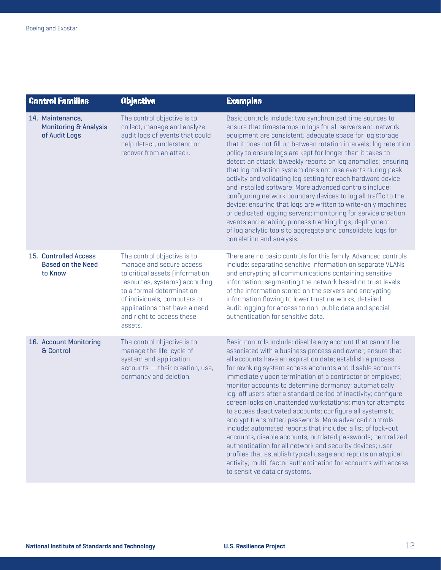| <b>Control Families</b>                                               | <b>Objective</b>                                                                                                                                                                                                                                                  | <b>Examples</b>                                                                                                                                                                                                                                                                                                                                                                                                                                                                                                                                                                                                                                                                                                                                                                                                                                                                                                                                                                           |
|-----------------------------------------------------------------------|-------------------------------------------------------------------------------------------------------------------------------------------------------------------------------------------------------------------------------------------------------------------|-------------------------------------------------------------------------------------------------------------------------------------------------------------------------------------------------------------------------------------------------------------------------------------------------------------------------------------------------------------------------------------------------------------------------------------------------------------------------------------------------------------------------------------------------------------------------------------------------------------------------------------------------------------------------------------------------------------------------------------------------------------------------------------------------------------------------------------------------------------------------------------------------------------------------------------------------------------------------------------------|
| 14. Maintenance,<br><b>Monitoring &amp; Analysis</b><br>of Audit Logs | The control objective is to<br>collect, manage and analyze<br>audit logs of events that could<br>help detect, understand or<br>recover from an attack.                                                                                                            | Basic controls include: two synchronized time sources to<br>ensure that timestamps in logs for all servers and network<br>equipment are consistent; adequate space for log storage<br>that it does not fill up between rotation intervals; log retention<br>policy to ensure logs are kept for longer than it takes to<br>detect an attack; biweekly reports on log anomalies; ensuring<br>that log collection system does not lose events during peak<br>activity and validating log setting for each hardware device<br>and installed software. More advanced controls include:<br>configuring network boundary devices to log all traffic to the<br>device; ensuring that logs are written to write-only machines<br>or dedicated logging servers; monitoring for service creation<br>events and enabling process tracking logs; deployment<br>of log analytic tools to aggregate and consolidate logs for<br>correlation and analysis.                                                |
| <b>15. Controlled Access</b><br><b>Based on the Need</b><br>to Know   | The control objective is to<br>manage and secure access<br>to critical assets (information<br>resources, systems) according<br>to a formal determination<br>of individuals, computers or<br>applications that have a need<br>and right to access these<br>assets. | There are no basic controls for this family. Advanced controls<br>include: separating sensitive information on separate VLANs<br>and encrypting all communications containing sensitive<br>information; segmenting the network based on trust levels<br>of the information stored on the servers and encrypting<br>information flowing to lower trust networks; detailed<br>audit logging for access to non-public data and special<br>authentication for sensitive data.                                                                                                                                                                                                                                                                                                                                                                                                                                                                                                                 |
| 16. Account Monitoring<br><b>&amp; Control</b>                        | The control objective is to<br>manage the life-cycle of<br>system and application<br>accounts - their creation, use,<br>dormancy and deletion.                                                                                                                    | Basic controls include: disable any account that cannot be<br>associated with a business process and owner; ensure that<br>all accounts have an expiration date; establish a process<br>for revoking system access accounts and disable accounts<br>immediately upon termination of a contractor or employee;<br>monitor accounts to determine dormancy; automatically<br>log-off users after a standard period of inactivity; configure<br>screen locks on unattended workstations; monitor attempts<br>to access deactivated accounts; configure all systems to<br>encrypt transmitted passwords. More advanced controls<br>include: automated reports that included a list of lock-out<br>accounts, disable accounts, outdated passwords; centralized<br>authentication for all network and security devices; user<br>profiles that establish typical usage and reports on atypical<br>activity; multi-factor authentication for accounts with access<br>to sensitive data or systems. |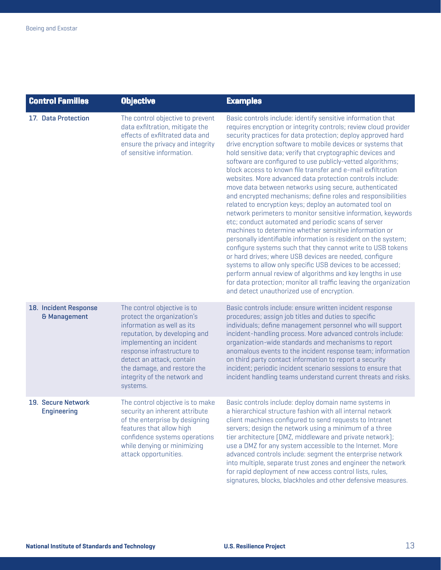| <b>Control Families</b>                  | <b>Objective</b>                                                                                                                                                                                                                                                                           | <b>Examples</b>                                                                                                                                                                                                                                                                                                                                                                                                                                                                                                                                                                                                                                                                                                                                                                                                                                                                                                                                                                                                                                                                                                                                                                                                                                                                                                                         |
|------------------------------------------|--------------------------------------------------------------------------------------------------------------------------------------------------------------------------------------------------------------------------------------------------------------------------------------------|-----------------------------------------------------------------------------------------------------------------------------------------------------------------------------------------------------------------------------------------------------------------------------------------------------------------------------------------------------------------------------------------------------------------------------------------------------------------------------------------------------------------------------------------------------------------------------------------------------------------------------------------------------------------------------------------------------------------------------------------------------------------------------------------------------------------------------------------------------------------------------------------------------------------------------------------------------------------------------------------------------------------------------------------------------------------------------------------------------------------------------------------------------------------------------------------------------------------------------------------------------------------------------------------------------------------------------------------|
| 17. Data Protection                      | The control objective to prevent<br>data exfiltration, mitigate the<br>effects of exfiltrated data and<br>ensure the privacy and integrity<br>of sensitive information.                                                                                                                    | Basic controls include: identify sensitive information that<br>requires encryption or integrity controls; review cloud provider<br>security practices for data protection; deploy approved hard<br>drive encryption software to mobile devices or systems that<br>hold sensitive data; verify that cryptographic devices and<br>software are configured to use publicly-vetted algorithms;<br>block access to known file transfer and e-mail exfiltration<br>websites. More advanced data protection controls include:<br>move data between networks using secure, authenticated<br>and encrypted mechanisms; define roles and responsibilities<br>related to encryption keys; deploy an automated tool on<br>network perimeters to monitor sensitive information, keywords<br>etc; conduct automated and periodic scans of server<br>machines to determine whether sensitive information or<br>personally identifiable information is resident on the system;<br>configure systems such that they cannot write to USB tokens<br>or hard drives; where USB devices are needed, configure<br>systems to allow only specific USB devices to be accessed;<br>perform annual review of algorithms and key lengths in use<br>for data protection; monitor all traffic leaving the organization<br>and detect unauthorized use of encryption. |
| 18. Incident Response<br>& Management    | The control objective is to<br>protect the organization's<br>information as well as its<br>reputation, by developing and<br>implementing an incident<br>response infrastructure to<br>detect an attack, contain<br>the damage, and restore the<br>integrity of the network and<br>systems. | Basic controls include: ensure written incident response<br>procedures; assign job titles and duties to specific<br>individuals; define management personnel who will support<br>incident-handling process. More advanced controls include:<br>organization-wide standards and mechanisms to report<br>anomalous events to the incident response team; information<br>on third party contact information to report a security<br>incident; periodic incident scenario sessions to ensure that<br>incident handling teams understand current threats and risks.                                                                                                                                                                                                                                                                                                                                                                                                                                                                                                                                                                                                                                                                                                                                                                          |
| 19. Secure Network<br><b>Engineering</b> | The control objective is to make<br>security an inherent attribute<br>of the enterprise by designing<br>features that allow high<br>confidence systems operations<br>while denying or minimizing<br>attack opportunities.                                                                  | Basic controls include: deploy domain name systems in<br>a hierarchical structure fashion with all internal network<br>client machines configured to send requests to Intranet<br>servers; design the network using a minimum of a three<br>tier architecture (DMZ, middleware and private network);<br>use a DMZ for any system accessible to the Internet. More<br>advanced controls include: segment the enterprise network<br>into multiple, separate trust zones and engineer the network<br>for rapid deployment of new access control lists, rules,                                                                                                                                                                                                                                                                                                                                                                                                                                                                                                                                                                                                                                                                                                                                                                              |

signatures, blocks, blackholes and other defensive measures.